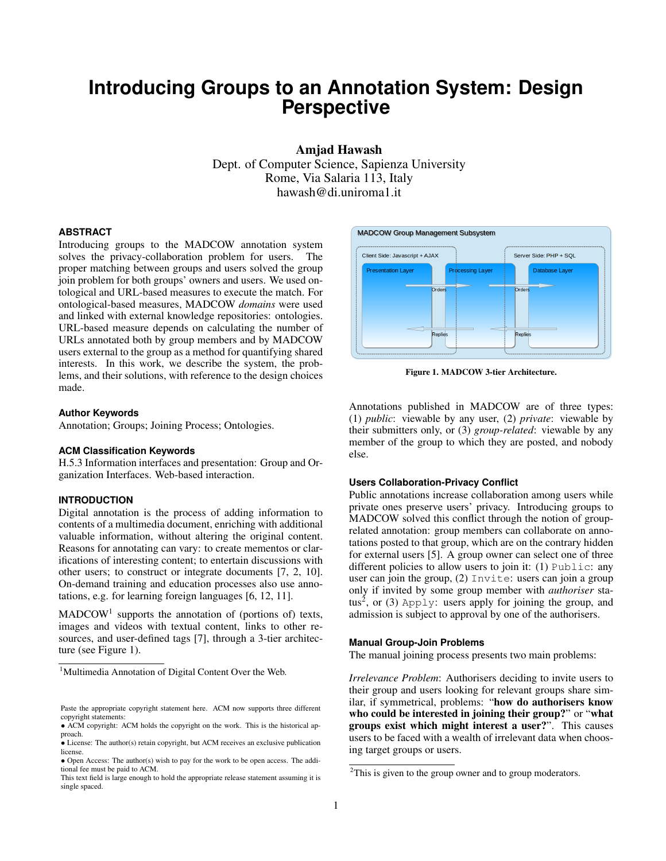# **Introducing Groups to an Annotation System: Design Perspective**

Amjad Hawash Dept. of Computer Science, Sapienza University Rome, Via Salaria 113, Italy hawash@di.uniroma1.it

# **ABSTRACT**

Introducing groups to the MADCOW annotation system solves the privacy-collaboration problem for users. The proper matching between groups and users solved the group join problem for both groups' owners and users. We used ontological and URL-based measures to execute the match. For ontological-based measures, MADCOW *domains* were used and linked with external knowledge repositories: ontologies. URL-based measure depends on calculating the number of URLs annotated both by group members and by MADCOW users external to the group as a method for quantifying shared interests. In this work, we describe the system, the problems, and their solutions, with reference to the design choices made.

# **Author Keywords**

Annotation; Groups; Joining Process; Ontologies.

## **ACM Classification Keywords**

H.5.3 Information interfaces and presentation: Group and Organization Interfaces. Web-based interaction.

### **INTRODUCTION**

Digital annotation is the process of adding information to contents of a multimedia document, enriching with additional valuable information, without altering the original content. Reasons for annotating can vary: to create mementos or clarifications of interesting content; to entertain discussions with other users; to construct or integrate documents [\[7,](#page-3-0) [2,](#page-3-1) [10\]](#page-3-2). On-demand training and education processes also use annotations, e.g. for learning foreign languages [\[6,](#page-3-3) [12,](#page-3-4) [11\]](#page-3-5).

 $MADCOW<sup>1</sup>$  $MADCOW<sup>1</sup>$  $MADCOW<sup>1</sup>$  supports the annotation of (portions of) texts, images and videos with textual content, links to other resources, and user-defined tags [\[7\]](#page-3-0), through a 3-tier architecture (see Figure [1\)](#page-0-1).



<span id="page-0-1"></span>Figure 1. MADCOW 3-tier Architecture.

Annotations published in MADCOW are of three types: (1) *public*: viewable by any user, (2) *private*: viewable by their submitters only, or (3) *group-related*: viewable by any member of the group to which they are posted, and nobody else.

# **Users Collaboration-Privacy Conflict**

Public annotations increase collaboration among users while private ones preserve users' privacy. Introducing groups to MADCOW solved this conflict through the notion of grouprelated annotation: group members can collaborate on annotations posted to that group, which are on the contrary hidden for external users [\[5\]](#page-3-6). A group owner can select one of three different policies to allow users to join it: (1) Public: any user can join the group, (2) Invite: users can join a group only if invited by some group member with *authoriser* sta-tus<sup>[2](#page-0-2)</sup>, or (3) Apply: users apply for joining the group, and admission is subject to approval by one of the authorisers.

#### **Manual Group-Join Problems**

The manual joining process presents two main problems:

*Irrelevance Problem*: Authorisers deciding to invite users to their group and users looking for relevant groups share similar, if symmetrical, problems: "how do authorisers know who could be interested in joining their group?" or "what groups exist which might interest a user?". This causes users to be faced with a wealth of irrelevant data when choosing target groups or users.

<span id="page-0-0"></span><sup>&</sup>lt;sup>1</sup>Multimedia Annotation of Digital Content Over the Web.

Paste the appropriate copyright statement here. ACM now supports three different copyright statements:

<sup>•</sup> ACM copyright: ACM holds the copyright on the work. This is the historical approach.

<sup>•</sup> License: The author(s) retain copyright, but ACM receives an exclusive publication license.

<sup>•</sup> Open Access: The author(s) wish to pay for the work to be open access. The additional fee must be paid to ACM.

This text field is large enough to hold the appropriate release statement assuming it is single spaced.

<span id="page-0-2"></span><sup>&</sup>lt;sup>2</sup>This is given to the group owner and to group moderators.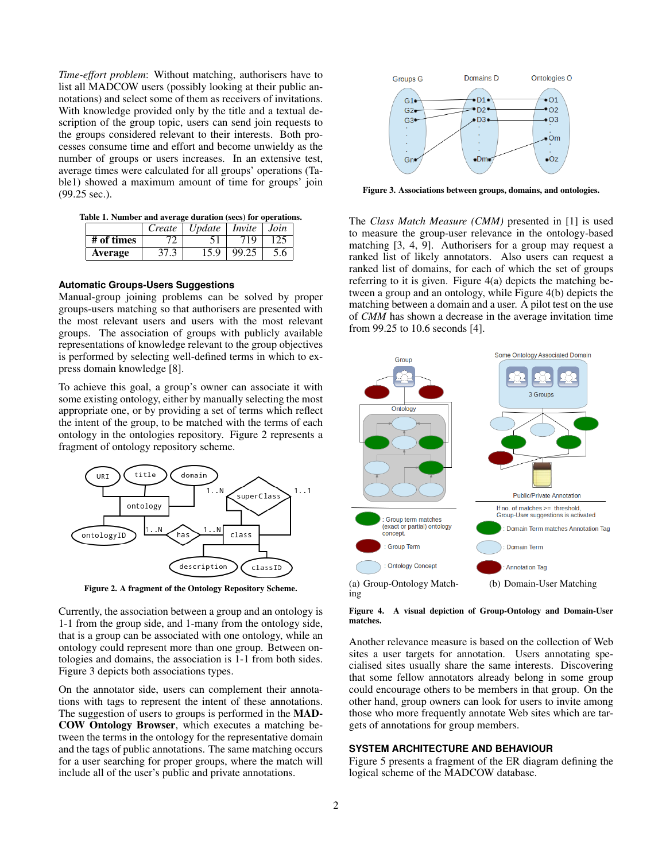*Time-effort problem*: Without matching, authorisers have to list all MADCOW users (possibly looking at their public annotations) and select some of them as receivers of invitations. With knowledge provided only by the title and a textual description of the group topic, users can send join requests to the groups considered relevant to their interests. Both processes consume time and effort and become unwieldy as the number of groups or users increases. In an extensive test, average times were calculated for all groups' operations (Tabl[e1\)](#page-1-0) showed a maximum amount of time for groups' join (99.25 sec.).

<span id="page-1-0"></span>Table 1. Number and average duration (secs) for operations.

|                | $Create \mid Update \mid Invite \mid Join$ |       |     |
|----------------|--------------------------------------------|-------|-----|
| # of times     |                                            | 719.  |     |
| <b>Average</b> | 15.9                                       | 99.25 | 5.6 |

# **Automatic Groups-Users Suggestions**

Manual-group joining problems can be solved by proper groups-users matching so that authorisers are presented with the most relevant users and users with the most relevant groups. The association of groups with publicly available representations of knowledge relevant to the group objectives is performed by selecting well-defined terms in which to express domain knowledge [\[8\]](#page-3-7).

To achieve this goal, a group's owner can associate it with some existing ontology, either by manually selecting the most appropriate one, or by providing a set of terms which reflect the intent of the group, to be matched with the terms of each ontology in the ontologies repository. Figure [2](#page-1-1) represents a fragment of ontology repository scheme.



<span id="page-1-1"></span>Figure 2. A fragment of the Ontology Repository Scheme.

Currently, the association between a group and an ontology is 1-1 from the group side, and 1-many from the ontology side, that is a group can be associated with one ontology, while an ontology could represent more than one group. Between ontologies and domains, the association is 1-1 from both sides. Figure [3](#page-1-2) depicts both associations types.

On the annotator side, users can complement their annotations with tags to represent the intent of these annotations. The suggestion of users to groups is performed in the MAD-COW Ontology Browser, which executes a matching between the terms in the ontology for the representative domain and the tags of public annotations. The same matching occurs for a user searching for proper groups, where the match will include all of the user's public and private annotations.



<span id="page-1-2"></span>Figure 3. Associations between groups, domains, and ontologies.

The *Class Match Measure (CMM)* presented in [\[1\]](#page-3-8) is used to measure the group-user relevance in the ontology-based matching [\[3,](#page-3-9) [4,](#page-3-10) [9\]](#page-3-11). Authorisers for a group may request a ranked list of likely annotators. Also users can request a ranked list of domains, for each of which the set of groups referring to it is given. Figure [4\(a\)](#page-1-3) depicts the matching between a group and an ontology, while Figure [4\(b\)](#page-1-4) depicts the matching between a domain and a user. A pilot test on the use of *CMM* has shown a decrease in the average invitation time from 99.25 to 10.6 seconds [\[4\]](#page-3-10).

<span id="page-1-3"></span>

<span id="page-1-4"></span>Figure 4. A visual depiction of Group-Ontology and Domain-User matches.

Another relevance measure is based on the collection of Web sites a user targets for annotation. Users annotating specialised sites usually share the same interests. Discovering that some fellow annotators already belong in some group could encourage others to be members in that group. On the other hand, group owners can look for users to invite among those who more frequently annotate Web sites which are targets of annotations for group members.

# **SYSTEM ARCHITECTURE AND BEHAVIOUR**

Figure [5](#page-2-0) presents a fragment of the ER diagram defining the logical scheme of the MADCOW database.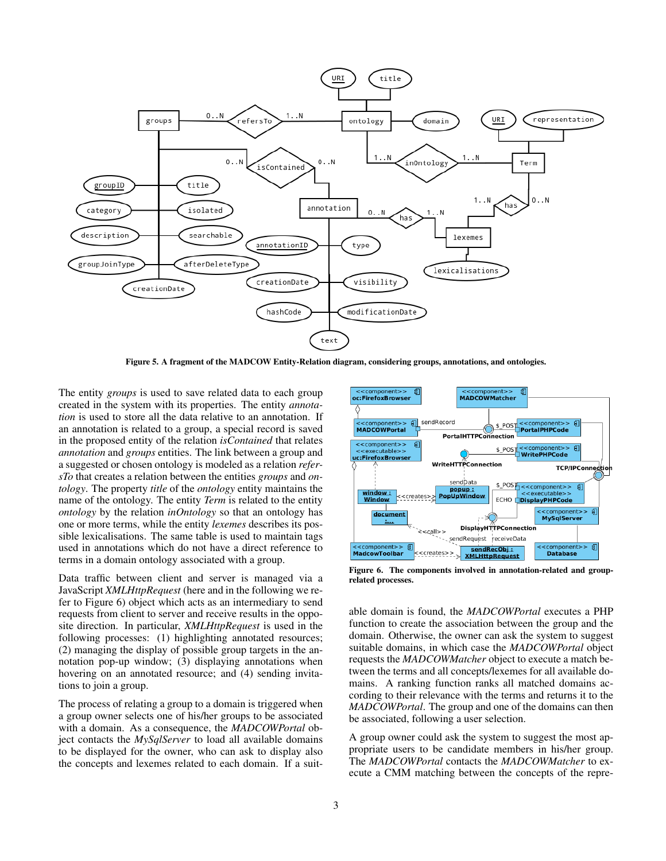

<span id="page-2-0"></span>Figure 5. A fragment of the MADCOW Entity-Relation diagram, considering groups, annotations, and ontologies.

The entity *groups* is used to save related data to each group created in the system with its properties. The entity *annotation* is used to store all the data relative to an annotation. If an annotation is related to a group, a special record is saved in the proposed entity of the relation *isContained* that relates *annotation* and *groups* entities. The link between a group and a suggested or chosen ontology is modeled as a relation *refersTo* that creates a relation between the entities *groups* and *ontology*. The property *title* of the *ontology* entity maintains the name of the ontology. The entity *Term* is related to the entity *ontology* by the relation *inOntology* so that an ontology has one or more terms, while the entity *lexemes* describes its possible lexicalisations. The same table is used to maintain tags used in annotations which do not have a direct reference to terms in a domain ontology associated with a group.

Data traffic between client and server is managed via a JavaScript *XMLHttpRequest* (here and in the following we refer to Figure [6\)](#page-2-1) object which acts as an intermediary to send requests from client to server and receive results in the opposite direction. In particular, *XMLHttpRequest* is used in the following processes: (1) highlighting annotated resources; (2) managing the display of possible group targets in the annotation pop-up window; (3) displaying annotations when hovering on an annotated resource; and  $(4)$  sending invitations to join a group.

The process of relating a group to a domain is triggered when a group owner selects one of his/her groups to be associated with a domain. As a consequence, the *MADCOWPortal* object contacts the *MySqlServer* to load all available domains to be displayed for the owner, who can ask to display also the concepts and lexemes related to each domain. If a suit-



<span id="page-2-1"></span>Figure 6. The components involved in annotation-related and grouprelated processes.

able domain is found, the *MADCOWPortal* executes a PHP function to create the association between the group and the domain. Otherwise, the owner can ask the system to suggest suitable domains, in which case the *MADCOWPortal* object requests the *MADCOWMatcher* object to execute a match between the terms and all concepts/lexemes for all available domains. A ranking function ranks all matched domains according to their relevance with the terms and returns it to the *MADCOWPortal*. The group and one of the domains can then be associated, following a user selection.

A group owner could ask the system to suggest the most appropriate users to be candidate members in his/her group. The *MADCOWPortal* contacts the *MADCOWMatcher* to execute a CMM matching between the concepts of the repre